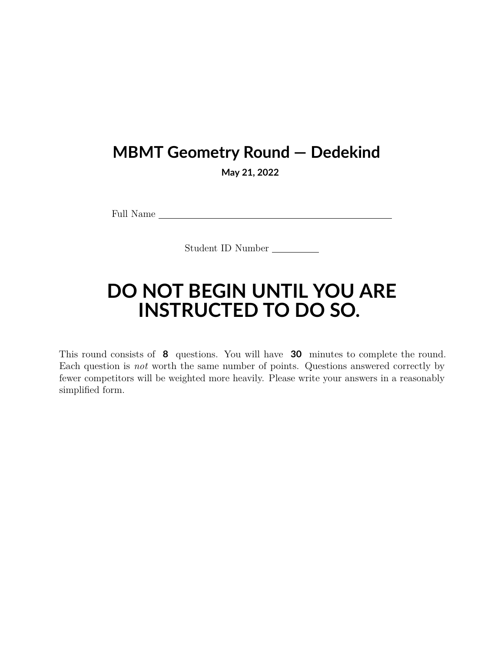## **MBMT Geometry Round — Dedekind**

**May 21, 2022**

Full Name

Student ID Number

## **DO NOT BEGIN UNTIL YOU ARE INSTRUCTED TO DO SO.**

This round consists of **8** questions. You will have **30** minutes to complete the round. Each question is *not* worth the same number of points. Questions answered correctly by fewer competitors will be weighted more heavily. Please write your answers in a reasonably simplified form.